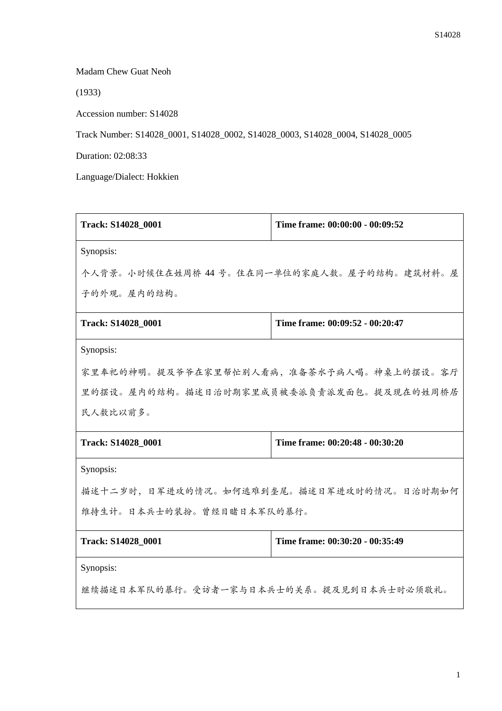Madam Chew Guat Neoh

(1933)

Accession number: S14028

Track Number: S14028\_0001, S14028\_0002, S14028\_0003, S14028\_0004, S14028\_0005

Duration: 02:08:33

Language/Dialect: Hokkien

| Track: S14028_0001                          | Time frame: 00:00:00 - 00:09:52 |  |
|---------------------------------------------|---------------------------------|--|
| Synopsis:                                   |                                 |  |
| 个人背景。小时候住在姓周桥 44 号。住在同一单位的家庭人数。屋子的结构。建筑材料。屋 |                                 |  |
| 子的外观。屋内的结构。                                 |                                 |  |
| Track: S14028_0001                          | Time frame: 00:09:52 - 00:20:47 |  |
| Synopsis:                                   |                                 |  |
| 家里奉祀的神明。提及爷爷在家里帮忙别人看病,准备茶水予病人喝。神桌上的摆设。客厅    |                                 |  |
| 里的摆设。屋内的结构。描述日治时期家里成员被委派负责派发面包。提及现在的姓周桥居    |                                 |  |
| 民人数比以前多。                                    |                                 |  |
| Track: S14028_0001                          | Time frame: 00:20:48 - 00:30:20 |  |
| Synopsis:                                   |                                 |  |
| 描述十二岁时,日军进攻的情况。如何逃难到垄尾。描述日军进攻时的情况。日治时期如何    |                                 |  |
| 维持生计。日本兵士的装扮。曾经目睹日本军队的暴行。                   |                                 |  |
| Track: S14028_0001                          | Time frame: 00:30:20 - 00:35:49 |  |
| Synopsis:                                   |                                 |  |
| 继续描述日本军队的暴行。受访者一家与日本兵士的关系。提及见到日本兵士时必须敬礼。    |                                 |  |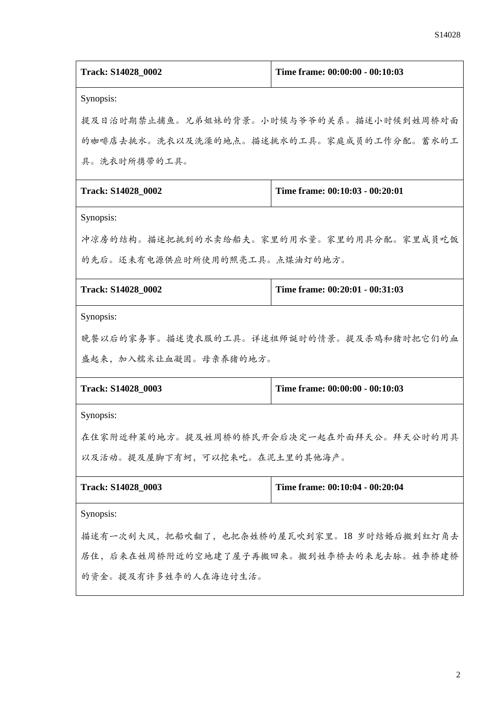| Track: S14028_0002                           | Time frame: 00:00:00 - 00:10:03 |  |
|----------------------------------------------|---------------------------------|--|
| Synopsis:                                    |                                 |  |
| 提及日治时期禁止捕鱼。兄弟姐妹的背景。小时候与爷爷的关系。描述小时候到姓周桥对面     |                                 |  |
| 的咖啡店去挑水。洗衣以及洗澡的地点。描述挑水的工具。家庭成员的工作分配。蓄水的工     |                                 |  |
| 具。洗衣时所携带的工具。                                 |                                 |  |
| Track: S14028_0002                           | Time frame: 00:10:03 - 00:20:01 |  |
| Synopsis:                                    |                                 |  |
| 冲凉房的结构。描述把挑到的水卖给船夫。家里的用水量。家里的用具分配。家里成员吃饭     |                                 |  |
| 的先后。还未有电源供应时所使用的照亮工具。点煤油灯的地方。                |                                 |  |
| Track: S14028_0002                           | Time frame: 00:20:01 - 00:31:03 |  |
| Synopsis:                                    |                                 |  |
| 晚餐以后的家务事。描述烫衣服的工具。详述祖师诞时的情景。提及杀鸡和猪时把它们的血     |                                 |  |
| 盛起来, 加入糯米让血凝固。母亲养猪的地方。                       |                                 |  |
| Track: S14028_0003                           | Time frame: 00:00:00 - 00:10:03 |  |
| Synopsis:                                    |                                 |  |
| 在住家附近种菜的地方。提及姓周桥的桥民开会后决定一起在外面拜天公。拜天公时的用具     |                                 |  |
| 以及活动。提及屋脚下有蚵,可以挖来吃。在泥土里的其他海产。                |                                 |  |
| Track: S14028_0003                           | Time frame: 00:10:04 - 00:20:04 |  |
| Synopsis:                                    |                                 |  |
| 描述有一次刮大风, 把船吹翻了, 也把杂姓桥的屋瓦吹到家里。18 岁时结婚后搬到红灯角去 |                                 |  |
| 居住,后来在姓周桥附近的空地建了屋子再搬回来。搬到姓李桥去的来龙去脉。姓李桥建桥     |                                 |  |
| 的资金。提及有许多姓李的人在海边讨生活。                         |                                 |  |
|                                              |                                 |  |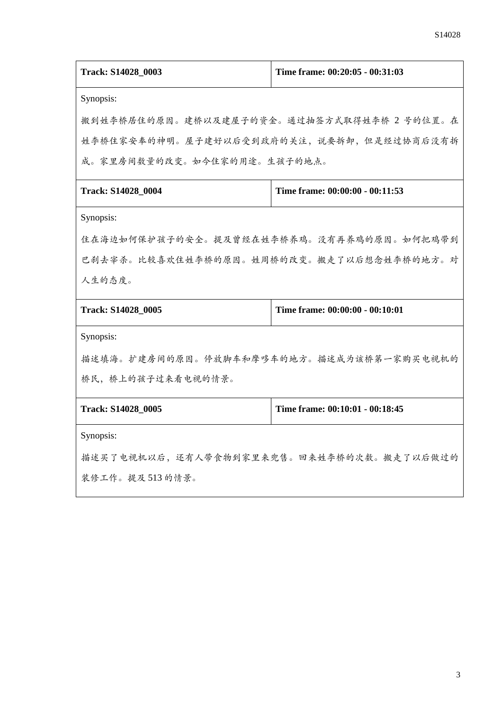| Track: S14028_0003                         | Time frame: 00:20:05 - 00:31:03 |  |
|--------------------------------------------|---------------------------------|--|
| Synopsis:                                  |                                 |  |
| 搬到姓李桥居住的原因。建桥以及建屋子的资金。通过抽签方式取得姓李桥 2 号的位置。在 |                                 |  |
| 姓李桥住家安奉的神明。屋子建好以后受到政府的关注, 说要拆卸, 但是经过协商后没有拆 |                                 |  |
| 成。家里房间数量的改变。如今住家的用途。生孩子的地点。                |                                 |  |
| Track: S14028_0004                         | Time frame: 00:00:00 - 00:11:53 |  |
| Synopsis:                                  |                                 |  |
| 住在海边如何保护孩子的安全。提及曾经在姓李桥养鸡。没有再养鸡的原因。如何把鸡带到   |                                 |  |
| 巴刹去宰杀。比较喜欢住姓李桥的原因。姓周桥的改变。搬走了以后想念姓李桥的地方。对   |                                 |  |
| 人生的态度。                                     |                                 |  |
| Track: S14028 0005                         | Time frame: 00:00:00 - 00:10:01 |  |
| Synopsis:                                  |                                 |  |
| 描述填海。扩建房间的原因。停放脚车和摩哆车的地方。描述成为该桥第一家购买电视机的   |                                 |  |
| 桥民,桥上的孩子过来看电视的情景。                          |                                 |  |
| Track: S14028_0005                         | Time frame: 00:10:01 - 00:18:45 |  |
| Synopsis:                                  |                                 |  |
| 描述买了电视机以后,还有人带食物到家里来兜售。回来姓李桥的次数。搬走了以后做过的   |                                 |  |
| 装修工作。提及513的情景。                             |                                 |  |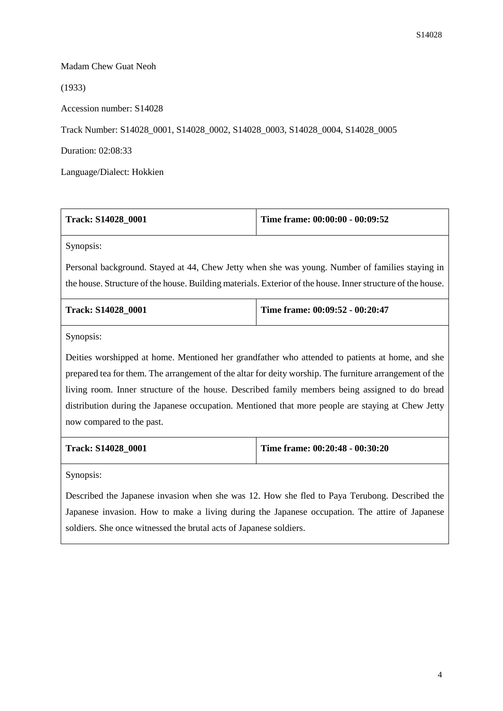## Madam Chew Guat Neoh

(1933)

Accession number: S14028

Track Number: S14028\_0001, S14028\_0002, S14028\_0003, S14028\_0004, S14028\_0005

Duration: 02:08:33

Language/Dialect: Hokkien

| <b>Track: S14028 0001</b> | Time frame: $00:00:00 - 00:09:52$ |
|---------------------------|-----------------------------------|
| Synopsis:                 |                                   |

Personal background. Stayed at 44, Chew Jetty when she was young. Number of families staying in the house. Structure of the house. Building materials. Exterior of the house. Inner structure of the house.

| <b>Track: S14028 0001</b> | Time frame: $00:09:52 - 00:20:47$ |
|---------------------------|-----------------------------------|
|                           |                                   |

Synopsis:

Deities worshipped at home. Mentioned her grandfather who attended to patients at home, and she prepared tea for them. The arrangement of the altar for deity worship. The furniture arrangement of the living room. Inner structure of the house. Described family members being assigned to do bread distribution during the Japanese occupation. Mentioned that more people are staying at Chew Jetty now compared to the past.

| <b>Track: S14028 0001</b> | Time frame: $00:20:48 - 00:30:20$ |
|---------------------------|-----------------------------------|
|---------------------------|-----------------------------------|

Synopsis:

Described the Japanese invasion when she was 12. How she fled to Paya Terubong. Described the Japanese invasion. How to make a living during the Japanese occupation. The attire of Japanese soldiers. She once witnessed the brutal acts of Japanese soldiers.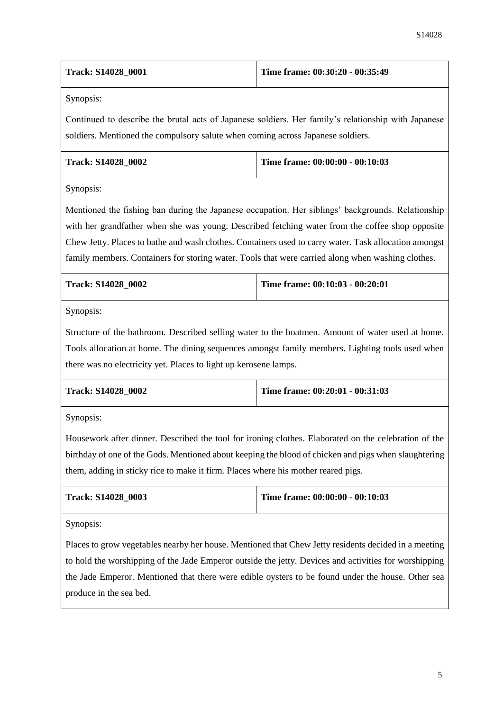| <b>Track: S14028 0001</b> | Time frame: 00:30:20 - 00:35:49 |
|---------------------------|---------------------------------|
|---------------------------|---------------------------------|

Synopsis:

Continued to describe the brutal acts of Japanese soldiers. Her family's relationship with Japanese soldiers. Mentioned the compulsory salute when coming across Japanese soldiers.

| <b>Track: S14028 0002</b> | Time frame: $00:00:00 - 00:10:03$ |
|---------------------------|-----------------------------------|
|                           |                                   |

Synopsis:

Mentioned the fishing ban during the Japanese occupation. Her siblings' backgrounds. Relationship with her grandfather when she was young. Described fetching water from the coffee shop opposite Chew Jetty. Places to bathe and wash clothes. Containers used to carry water. Task allocation amongst family members. Containers for storing water. Tools that were carried along when washing clothes.

| <b>Track: S14028 0002</b> | Time frame: $00:10:03 - 00:20:01$ |
|---------------------------|-----------------------------------|
|                           |                                   |

Synopsis:

Structure of the bathroom. Described selling water to the boatmen. Amount of water used at home. Tools allocation at home. The dining sequences amongst family members. Lighting tools used when there was no electricity yet. Places to light up kerosene lamps.

| <b>Track: S14028 0002</b> | Time frame: $00:20:01 - 00:31:03$ |
|---------------------------|-----------------------------------|
|                           |                                   |

Synopsis:

Housework after dinner. Described the tool for ironing clothes. Elaborated on the celebration of the birthday of one of the Gods. Mentioned about keeping the blood of chicken and pigs when slaughtering them, adding in sticky rice to make it firm. Places where his mother reared pigs.

| <b>Track: S14028 0003</b> | Time frame: $00:00:00 - 00:10:03$ |
|---------------------------|-----------------------------------|
|---------------------------|-----------------------------------|

Synopsis:

Places to grow vegetables nearby her house. Mentioned that Chew Jetty residents decided in a meeting to hold the worshipping of the Jade Emperor outside the jetty. Devices and activities for worshipping the Jade Emperor. Mentioned that there were edible oysters to be found under the house. Other sea produce in the sea bed.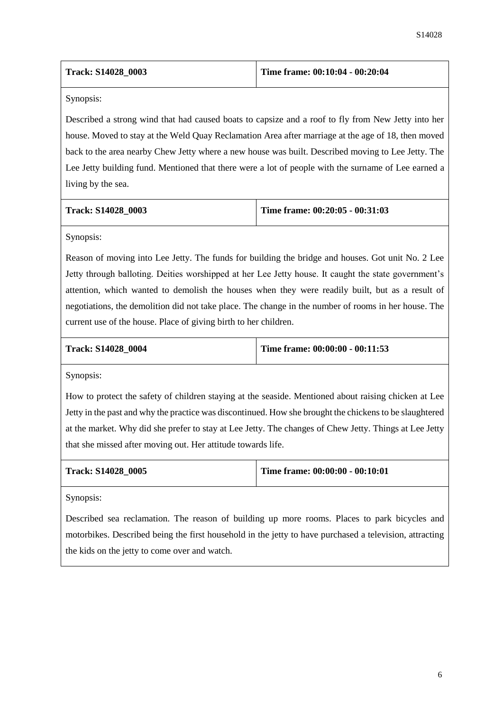| <b>Track: S14028 0003</b> | Time frame: $00:10:04 - 00:20:04$ |
|---------------------------|-----------------------------------|
|                           |                                   |

Synopsis:

Described a strong wind that had caused boats to capsize and a roof to fly from New Jetty into her house. Moved to stay at the Weld Quay Reclamation Area after marriage at the age of 18, then moved back to the area nearby Chew Jetty where a new house was built. Described moving to Lee Jetty. The Lee Jetty building fund. Mentioned that there were a lot of people with the surname of Lee earned a living by the sea.

| <b>Track: S14028 0003</b> | Time frame: $00:20:05 - 00:31:03$ |
|---------------------------|-----------------------------------|
|                           |                                   |

Synopsis:

Reason of moving into Lee Jetty. The funds for building the bridge and houses. Got unit No. 2 Lee Jetty through balloting. Deities worshipped at her Lee Jetty house. It caught the state government's attention, which wanted to demolish the houses when they were readily built, but as a result of negotiations, the demolition did not take place. The change in the number of rooms in her house. The current use of the house. Place of giving birth to her children.

**Track: S14028\_0004 Time frame: 00:00:00 - 00:11:53**

Synopsis:

How to protect the safety of children staying at the seaside. Mentioned about raising chicken at Lee Jetty in the past and why the practice was discontinued. How she brought the chickens to be slaughtered at the market. Why did she prefer to stay at Lee Jetty. The changes of Chew Jetty. Things at Lee Jetty that she missed after moving out. Her attitude towards life.

| <b>Track: S14028 0005</b> | Time frame: $00:00:00 - 00:10:01$ |
|---------------------------|-----------------------------------|
|                           |                                   |

Synopsis:

Described sea reclamation. The reason of building up more rooms. Places to park bicycles and motorbikes. Described being the first household in the jetty to have purchased a television, attracting the kids on the jetty to come over and watch.